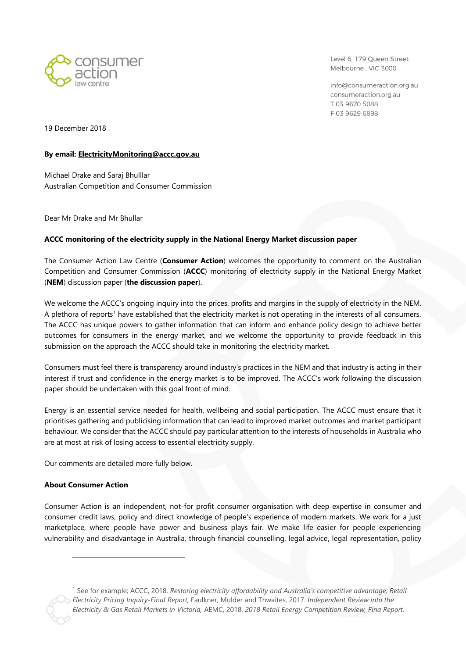

Level 6, 179 Queen Street Melbourne, VIC 3000

info@consumeraction.org.au consumeraction.org.au T 03 9670 5088 F0396296898

19 December 2018

#### **By email: [ElectricityMonitoring@accc.gov.au](mailto:ElectricityMonitoring@accc.gov.au)**

Michael Drake and Saraj Bhulllar Australian Competition and Consumer Commission

Dear Mr Drake and Mr Bhullar

# **ACCC monitoring of the electricity supply in the National Energy Market discussion paper**

The Consumer Action Law Centre (**Consumer Action**) welcomes the opportunity to comment on the Australian Competition and Consumer Commission (**ACCC**) monitoring of electricity supply in the National Energy Market (**NEM**) discussion paper (**the discussion paper**).

We welcome the ACCC's ongoing inquiry into the prices, profits and margins in the supply of electricity in the NEM. A plethora of reports<sup>1</sup> have established that the electricity market is not operating in the interests of all consumers. The ACCC has unique powers to gather information that can inform and enhance policy design to achieve better outcomes for consumers in the energy market, and we welcome the opportunity to provide feedback in this submission on the approach the ACCC should take in monitoring the electricity market.

Consumers must feel there is transparency around industry's practices in the NEM and that industry is acting in their interest if trust and confidence in the energy market is to be improved. The ACCC's work following the discussion paper should be undertaken with this goal front of mind.

Energy is an essential service needed for health, wellbeing and social participation. The ACCC must ensure that it prioritises gathering and publicising information that can lead to improved market outcomes and market participant behaviour. We consider that the ACCC should pay particular attention to the interests of households in Australia who are at most at risk of losing access to essential electricity supply.

Our comments are detailed more fully below.

# **About Consumer Action**

 $\overline{a}$ 

Consumer Action is an independent, not-for profit consumer organisation with deep expertise in consumer and consumer credit laws, policy and direct knowledge of people's experience of modern markets. We work for a just marketplace, where people have power and business plays fair. We make life easier for people experiencing vulnerability and disadvantage in Australia, through financial counselling, legal advice, legal representation, policy

<sup>1</sup> See for example; ACCC, 2018. *Restoring electricity affordability and Australia's competitive advantage; Retail Electricity Pricing Inquiry-Final Report,* Faulkner, Mulder and Thwaites, 2017. *Independent Review into the Electricity & Gas Retail Markets in Victoria,* AEMC, 2018. *2018 Retail Energy Competition Review, Fina Report.*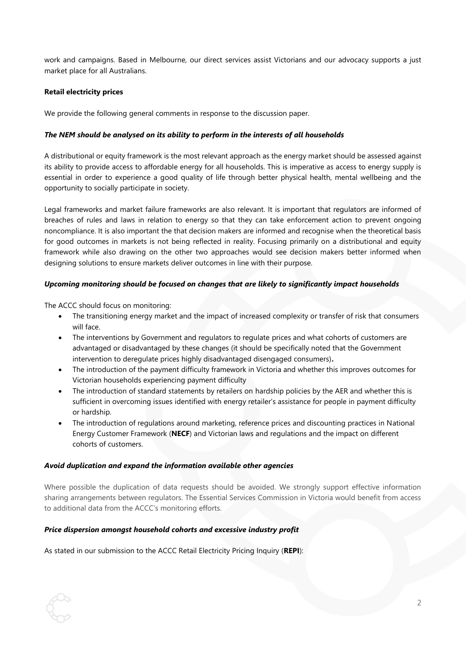work and campaigns. Based in Melbourne, our direct services assist Victorians and our advocacy supports a just market place for all Australians.

#### **Retail electricity prices**

We provide the following general comments in response to the discussion paper.

#### *The NEM should be analysed on its ability to perform in the interests of all households*

A distributional or equity framework is the most relevant approach as the energy market should be assessed against its ability to provide access to affordable energy for all households. This is imperative as access to energy supply is essential in order to experience a good quality of life through better physical health, mental wellbeing and the opportunity to socially participate in society.

Legal frameworks and market failure frameworks are also relevant. It is important that regulators are informed of breaches of rules and laws in relation to energy so that they can take enforcement action to prevent ongoing noncompliance. It is also important the that decision makers are informed and recognise when the theoretical basis for good outcomes in markets is not being reflected in reality. Focusing primarily on a distributional and equity framework while also drawing on the other two approaches would see decision makers better informed when designing solutions to ensure markets deliver outcomes in line with their purpose.

#### *Upcoming monitoring should be focused on changes that are likely to significantly impact households*

The ACCC should focus on monitoring:

- The transitioning energy market and the impact of increased complexity or transfer of risk that consumers will face.
- The interventions by Government and regulators to regulate prices and what cohorts of customers are advantaged or disadvantaged by these changes (it should be specifically noted that the Government intervention to deregulate prices highly disadvantaged disengaged consumers)**.**
- The introduction of the payment difficulty framework in Victoria and whether this improves outcomes for Victorian households experiencing payment difficulty
- The introduction of standard statements by retailers on hardship policies by the AER and whether this is sufficient in overcoming issues identified with energy retailer's assistance for people in payment difficulty or hardship.
- The introduction of regulations around marketing, reference prices and discounting practices in National Energy Customer Framework (**NECF**) and Victorian laws and regulations and the impact on different cohorts of customers.

#### *Avoid duplication and expand the information available other agencies*

Where possible the duplication of data requests should be avoided. We strongly support effective information sharing arrangements between regulators. The Essential Services Commission in Victoria would benefit from access to additional data from the ACCC's monitoring efforts.

# *Price dispersion amongst household cohorts and excessive industry profit*

As stated in our submission to the ACCC Retail Electricity Pricing Inquiry (**REPI**):

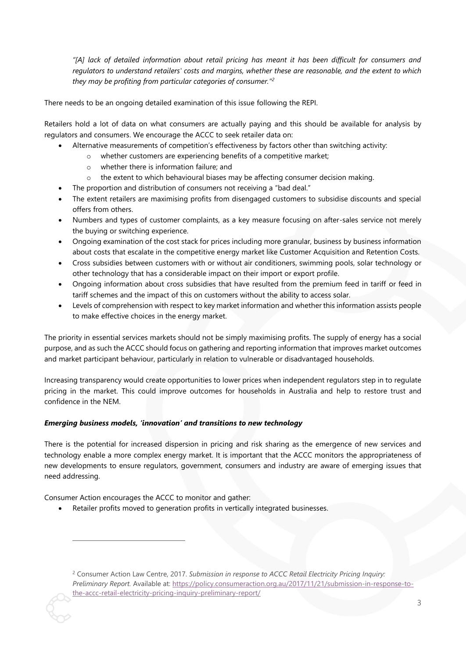*"[A] lack of detailed information about retail pricing has meant it has been difficult for consumers and regulators to understand retailers' costs and margins, whether these are reasonable, and the extent to which they may be profiting from particular categories of consumer."<sup>2</sup>*

There needs to be an ongoing detailed examination of this issue following the REPI.

Retailers hold a lot of data on what consumers are actually paying and this should be available for analysis by regulators and consumers. We encourage the ACCC to seek retailer data on:

- Alternative measurements of competition's effectiveness by factors other than switching activity:
	- o whether customers are experiencing benefits of a competitive market;
		- o whether there is information failure; and
	- $\circ$  the extent to which behavioural biases may be affecting consumer decision making.
	- The proportion and distribution of consumers not receiving a "bad deal."
- The extent retailers are maximising profits from disengaged customers to subsidise discounts and special offers from others.
- Numbers and types of customer complaints, as a key measure focusing on after-sales service not merely the buying or switching experience.
- Ongoing examination of the cost stack for prices including more granular, business by business information about costs that escalate in the competitive energy market like Customer Acquisition and Retention Costs.
- Cross subsidies between customers with or without air conditioners, swimming pools, solar technology or other technology that has a considerable impact on their import or export profile.
- Ongoing information about cross subsidies that have resulted from the premium feed in tariff or feed in tariff schemes and the impact of this on customers without the ability to access solar.
- Levels of comprehension with respect to key market information and whether this information assists people to make effective choices in the energy market.

The priority in essential services markets should not be simply maximising profits. The supply of energy has a social purpose, and as such the ACCC should focus on gathering and reporting information that improves market outcomes and market participant behaviour, particularly in relation to vulnerable or disadvantaged households.

Increasing transparency would create opportunities to lower prices when independent regulators step in to regulate pricing in the market. This could improve outcomes for households in Australia and help to restore trust and confidence in the NEM.

#### *Emerging business models, 'innovation' and transitions to new technology*

There is the potential for increased dispersion in pricing and risk sharing as the emergence of new services and technology enable a more complex energy market. It is important that the ACCC monitors the appropriateness of new developments to ensure regulators, government, consumers and industry are aware of emerging issues that need addressing.

Consumer Action encourages the ACCC to monitor and gather:

 $\overline{a}$ 

Retailer profits moved to generation profits in vertically integrated businesses.

<sup>2</sup> Consumer Action Law Centre, 2017. *Submission in response to ACCC Retail Electricity Pricing Inquiry: Preliminary Report.* Available at: [https://policy.consumeraction.org.au/2017/11/21/submission-in-response-to](https://policy.consumeraction.org.au/2017/11/21/submission-in-response-to-the-accc-retail-electricity-pricing-inquiry-preliminary-report/)[the-accc-retail-electricity-pricing-inquiry-preliminary-report/](https://policy.consumeraction.org.au/2017/11/21/submission-in-response-to-the-accc-retail-electricity-pricing-inquiry-preliminary-report/)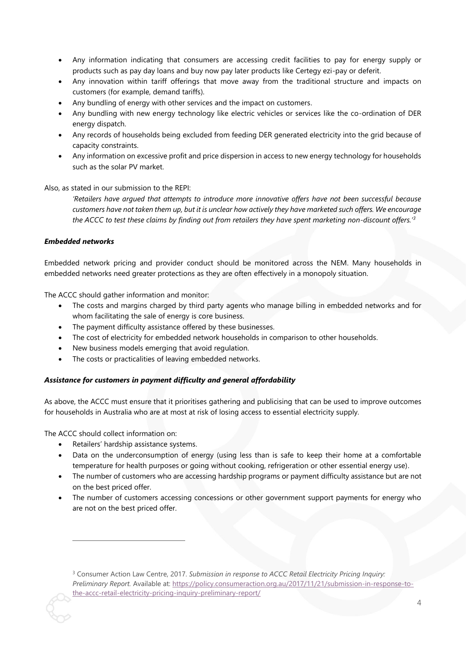- Any information indicating that consumers are accessing credit facilities to pay for energy supply or products such as pay day loans and buy now pay later products like Certegy ezi-pay or deferit.
- Any innovation within tariff offerings that move away from the traditional structure and impacts on customers (for example, demand tariffs).
- Any bundling of energy with other services and the impact on customers.
- Any bundling with new energy technology like electric vehicles or services like the co-ordination of DER energy dispatch.
- Any records of households being excluded from feeding DER generated electricity into the grid because of capacity constraints.
- Any information on excessive profit and price dispersion in access to new energy technology for households such as the solar PV market.

Also, as stated in our submission to the REPI:

*'Retailers have argued that attempts to introduce more innovative offers have not been successful because customers have not taken them up, but it is unclear how actively they have marketed such offers. We encourage the ACCC to test these claims by finding out from retailers they have spent marketing non-discount offers.' 3*

# *Embedded networks*

Embedded network pricing and provider conduct should be monitored across the NEM. Many households in embedded networks need greater protections as they are often effectively in a monopoly situation.

The ACCC should gather information and monitor:

- The costs and margins charged by third party agents who manage billing in embedded networks and for whom facilitating the sale of energy is core business.
- The payment difficulty assistance offered by these businesses.
- The cost of electricity for embedded network households in comparison to other households.
- New business models emerging that avoid regulation.
- The costs or practicalities of leaving embedded networks.

# *Assistance for customers in payment difficulty and general affordability*

As above, the ACCC must ensure that it prioritises gathering and publicising that can be used to improve outcomes for households in Australia who are at most at risk of losing access to essential electricity supply.

The ACCC should collect information on:

 $\overline{a}$ 

- Retailers' hardship assistance systems.
- Data on the underconsumption of energy (using less than is safe to keep their home at a comfortable temperature for health purposes or going without cooking, refrigeration or other essential energy use).
- The number of customers who are accessing hardship programs or payment difficulty assistance but are not on the best priced offer.
- The number of customers accessing concessions or other government support payments for energy who are not on the best priced offer.

<sup>3</sup> Consumer Action Law Centre, 2017. *Submission in response to ACCC Retail Electricity Pricing Inquiry: Preliminary Report.* Available at: [https://policy.consumeraction.org.au/2017/11/21/submission-in-response-to](https://policy.consumeraction.org.au/2017/11/21/submission-in-response-to-the-accc-retail-electricity-pricing-inquiry-preliminary-report/)[the-accc-retail-electricity-pricing-inquiry-preliminary-report/](https://policy.consumeraction.org.au/2017/11/21/submission-in-response-to-the-accc-retail-electricity-pricing-inquiry-preliminary-report/)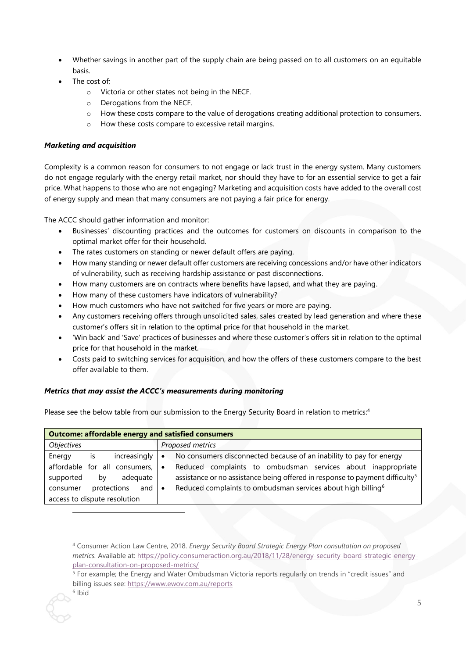- Whether savings in another part of the supply chain are being passed on to all customers on an equitable basis.
- The cost of:
	- o Victoria or other states not being in the NECF.
	- o Derogations from the NECF.
	- o How these costs compare to the value of derogations creating additional protection to consumers.
	- o How these costs compare to excessive retail margins.

# *Marketing and acquisition*

Complexity is a common reason for consumers to not engage or lack trust in the energy system. Many customers do not engage regularly with the energy retail market, nor should they have to for an essential service to get a fair price. What happens to those who are not engaging? Marketing and acquisition costs have added to the overall cost of energy supply and mean that many consumers are not paying a fair price for energy.

The ACCC should gather information and monitor:

- Businesses' discounting practices and the outcomes for customers on discounts in comparison to the optimal market offer for their household.
- The rates customers on standing or newer default offers are paying.
- How many standing or newer default offer customers are receiving concessions and/or have other indicators of vulnerability, such as receiving hardship assistance or past disconnections.
- How many customers are on contracts where benefits have lapsed, and what they are paying.
- How many of these customers have indicators of vulnerability?
- How much customers who have not switched for five years or more are paying.
- Any customers receiving offers through unsolicited sales, sales created by lead generation and where these customer's offers sit in relation to the optimal price for that household in the market.
- 'Win back' and 'Save' practices of businesses and where these customer's offers sit in relation to the optimal price for that household in the market.
- Costs paid to switching services for acquisition, and how the offers of these customers compare to the best offer available to them.

# *Metrics that may assist the ACCC's measurements during monitoring*

Please see the below table from our submission to the Energy Security Board in relation to metrics:<sup>4</sup>

| <b>Outcome: affordable energy and satisfied consumers</b> |                                                                                          |
|-----------------------------------------------------------|------------------------------------------------------------------------------------------|
| Objectives                                                | Proposed metrics                                                                         |
| Energy<br>increasingly<br>is.                             | No consumers disconnected because of an inability to pay for energy<br>$\bullet$         |
| affordable for all consumers,                             | Reduced complaints to ombudsman services about inappropriate<br>$\bullet$                |
| supported<br>adeguate<br>by                               | assistance or no assistance being offered in response to payment difficulty <sup>5</sup> |
| protections<br>and<br>consumer                            | Reduced complaints to ombudsman services about high billing <sup>6</sup><br>$\bullet$    |
| access to dispute resolution                              |                                                                                          |

 $\overline{a}$ 

<sup>4</sup> Consumer Action Law Centre, 2018. *Energy Security Board Strategic Energy Plan consultation on proposed metrics.* Available at: [https://policy.consumeraction.org.au/2018/11/28/energy-security-board-strategic-energy](https://policy.consumeraction.org.au/2018/11/28/energy-security-board-strategic-energy-plan-consultation-on-proposed-metrics/)[plan-consultation-on-proposed-metrics/](https://policy.consumeraction.org.au/2018/11/28/energy-security-board-strategic-energy-plan-consultation-on-proposed-metrics/)

<sup>&</sup>lt;sup>5</sup> For example; the Energy and Water Ombudsman Victoria reports regularly on trends in "credit issues" and billing issues see:<https://www.ewov.com.au/reports>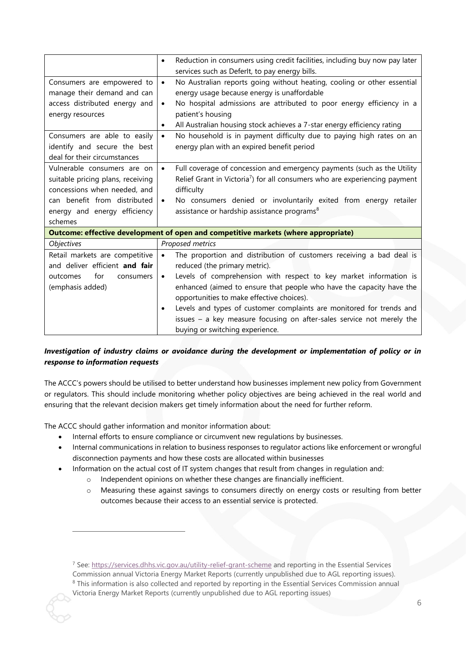| Reduction in consumers using credit facilities, including buy now pay later<br>$\bullet$ |  |
|------------------------------------------------------------------------------------------|--|
| services such as DeferIt, to pay energy bills.                                           |  |
| No Australian reports going without heating, cooling or other essential<br>$\bullet$     |  |
| energy usage because energy is unaffordable                                              |  |
| No hospital admissions are attributed to poor energy efficiency in a<br>$\bullet$        |  |
| patient's housing                                                                        |  |
| All Australian housing stock achieves a 7-star energy efficiency rating                  |  |
| No household is in payment difficulty due to paying high rates on an<br>$\bullet$        |  |
| energy plan with an expired benefit period                                               |  |
|                                                                                          |  |
| Full coverage of concession and emergency payments (such as the Utility<br>$\bullet$     |  |
| Relief Grant in Victoria <sup>7</sup> ) for all consumers who are experiencing payment   |  |
| difficulty                                                                               |  |
| No consumers denied or involuntarily exited from energy retailer<br>$\bullet$            |  |
| assistance or hardship assistance programs <sup>8</sup>                                  |  |
|                                                                                          |  |
| Outcome: effective development of open and competitive markets (where appropriate)       |  |
| Proposed metrics                                                                         |  |
| The proportion and distribution of customers receiving a bad deal is<br>$\bullet$        |  |
| reduced (the primary metric).                                                            |  |
| Levels of comprehension with respect to key market information is<br>$\bullet$           |  |
| enhanced (aimed to ensure that people who have the capacity have the                     |  |
| opportunities to make effective choices).                                                |  |
| Levels and types of customer complaints are monitored for trends and<br>$\bullet$        |  |
| issues - a key measure focusing on after-sales service not merely the                    |  |
| buying or switching experience.                                                          |  |
|                                                                                          |  |

# *Investigation of industry claims or avoidance during the development or implementation of policy or in response to information requests*

The ACCC's powers should be utilised to better understand how businesses implement new policy from Government or regulators. This should include monitoring whether policy objectives are being achieved in the real world and ensuring that the relevant decision makers get timely information about the need for further reform.

The ACCC should gather information and monitor information about:

 $\overline{a}$ 

- Internal efforts to ensure compliance or circumvent new regulations by businesses.
- Internal communications in relation to business responses to regulator actions like enforcement or wrongful disconnection payments and how these costs are allocated within businesses
- Information on the actual cost of IT system changes that result from changes in regulation and:
	- o Independent opinions on whether these changes are financially inefficient.
	- o Measuring these against savings to consumers directly on energy costs or resulting from better outcomes because their access to an essential service is protected.

<sup>7</sup> See:<https://services.dhhs.vic.gov.au/utility-relief-grant-scheme> and reporting in the Essential Services Commission annual Victoria Energy Market Reports (currently unpublished due to AGL reporting issues). <sup>8</sup> This information is also collected and reported by reporting in the Essential Services Commission annual Victoria Energy Market Reports (currently unpublished due to AGL reporting issues)